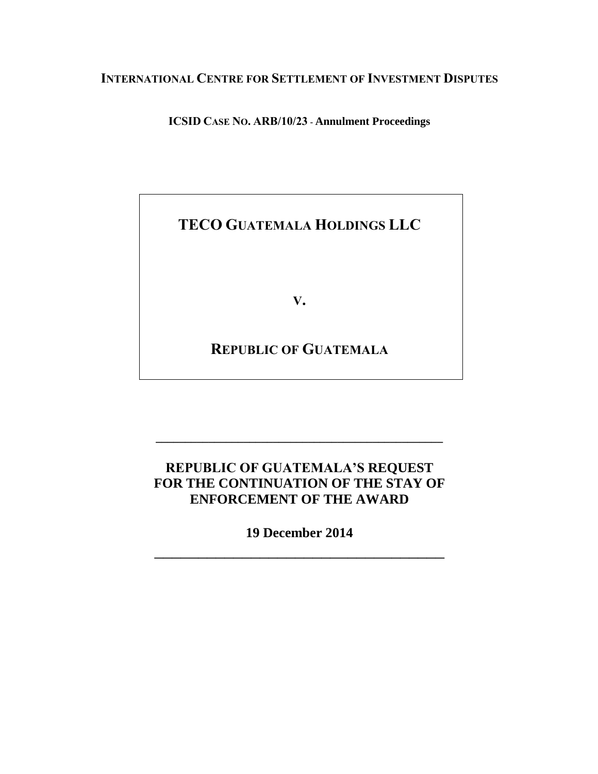**INTERNATIONAL CENTRE FOR SETTLEMENT OF INVESTMENT DISPUTES**

**ICSID CASE NO. ARB/10/23 - Annulment Proceedings**

# **TECO GUATEMALA HOLDINGS LLC**

**V.**

**REPUBLIC OF GUATEMALA**

# **REPUBLIC OF GUATEMALA'S REQUEST FOR THE CONTINUATION OF THE STAY OF ENFORCEMENT OF THE AWARD**

**\_\_\_\_\_\_\_\_\_\_\_\_\_\_\_\_\_\_\_\_\_\_\_\_\_\_\_\_\_\_\_\_\_\_\_\_\_\_\_\_\_\_\_\_\_\_\_\_\_**

**19 December 2014** \_\_\_\_\_\_\_\_\_\_\_\_\_\_\_\_\_\_\_\_\_\_\_\_\_\_\_\_\_\_\_\_\_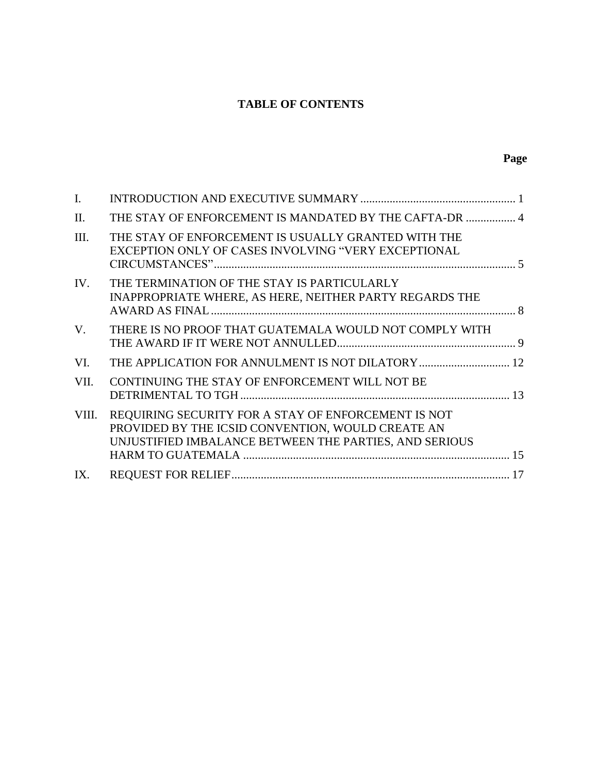## **TABLE OF CONTENTS**

| $\mathbf{I}$ . |                                                                                                                                                                    |  |
|----------------|--------------------------------------------------------------------------------------------------------------------------------------------------------------------|--|
| II.            | THE STAY OF ENFORCEMENT IS MANDATED BY THE CAFTA-DR  4                                                                                                             |  |
| III.           | THE STAY OF ENFORCEMENT IS USUALLY GRANTED WITH THE<br>EXCEPTION ONLY OF CASES INVOLVING "VERY EXCEPTIONAL                                                         |  |
| IV.            | THE TERMINATION OF THE STAY IS PARTICULARLY<br>INAPPROPRIATE WHERE, AS HERE, NEITHER PARTY REGARDS THE                                                             |  |
| V.             | THERE IS NO PROOF THAT GUATEMALA WOULD NOT COMPLY WITH                                                                                                             |  |
| VI.            | THE APPLICATION FOR ANNULMENT IS NOT DILATORY  12                                                                                                                  |  |
| VII.           | CONTINUING THE STAY OF ENFORCEMENT WILL NOT BE                                                                                                                     |  |
| VIII.          | REQUIRING SECURITY FOR A STAY OF ENFORCEMENT IS NOT<br>PROVIDED BY THE ICSID CONVENTION, WOULD CREATE AN<br>UNJUSTIFIED IMBALANCE BETWEEN THE PARTIES, AND SERIOUS |  |
| IX.            |                                                                                                                                                                    |  |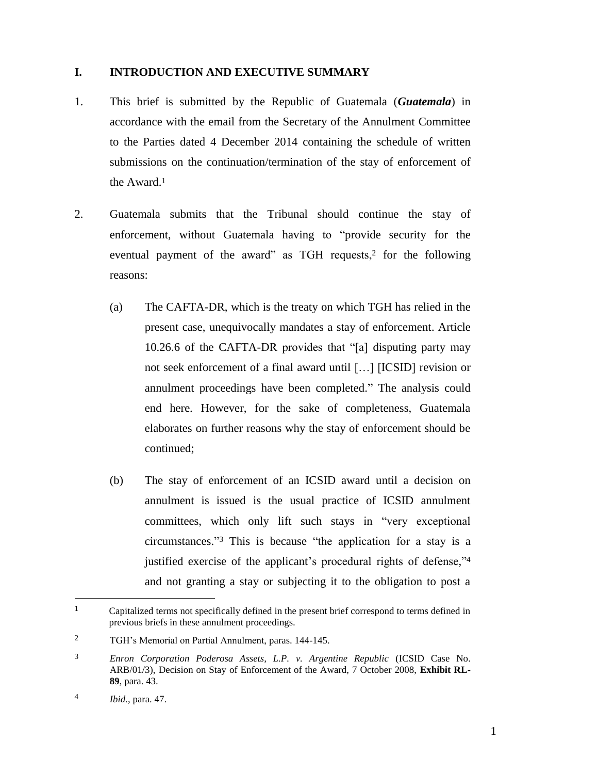#### <span id="page-2-0"></span>**I. INTRODUCTION AND EXECUTIVE SUMMARY**

- 1. This brief is submitted by the Republic of Guatemala (*Guatemala*) in accordance with the email from the Secretary of the Annulment Committee to the Parties dated 4 December 2014 containing the schedule of written submissions on the continuation/termination of the stay of enforcement of the Award. 1
- 2. Guatemala submits that the Tribunal should continue the stay of enforcement, without Guatemala having to "provide security for the eventual payment of the award" as TGH requests,<sup>2</sup> for the following reasons:
	- (a) The CAFTA-DR, which is the treaty on which TGH has relied in the present case, unequivocally mandates a stay of enforcement. Article 10.26.6 of the CAFTA-DR provides that "[a] disputing party may not seek enforcement of a final award until […] [ICSID] revision or annulment proceedings have been completed." The analysis could end here. However, for the sake of completeness, Guatemala elaborates on further reasons why the stay of enforcement should be continued;
	- (b) The stay of enforcement of an ICSID award until a decision on annulment is issued is the usual practice of ICSID annulment committees, which only lift such stays in "very exceptional circumstances." <sup>3</sup> This is because "the application for a stay is a justified exercise of the applicant's procedural rights of defense," 4 and not granting a stay or subjecting it to the obligation to post a

 $\overline{a}$ 

1

<sup>&</sup>lt;sup>1</sup> Capitalized terms not specifically defined in the present brief correspond to terms defined in previous briefs in these annulment proceedings.

<sup>2</sup> TGH's Memorial on Partial Annulment, paras. 144-145.

<sup>3</sup> *Enron Corporation Poderosa Assets, L.P. v. Argentine Republic* (ICSID Case No. ARB/01/3), Decision on Stay of Enforcement of the Award, 7 October 2008, **Exhibit RL-89**, para. 43.

<sup>4</sup> *Ibid.*, para. 47.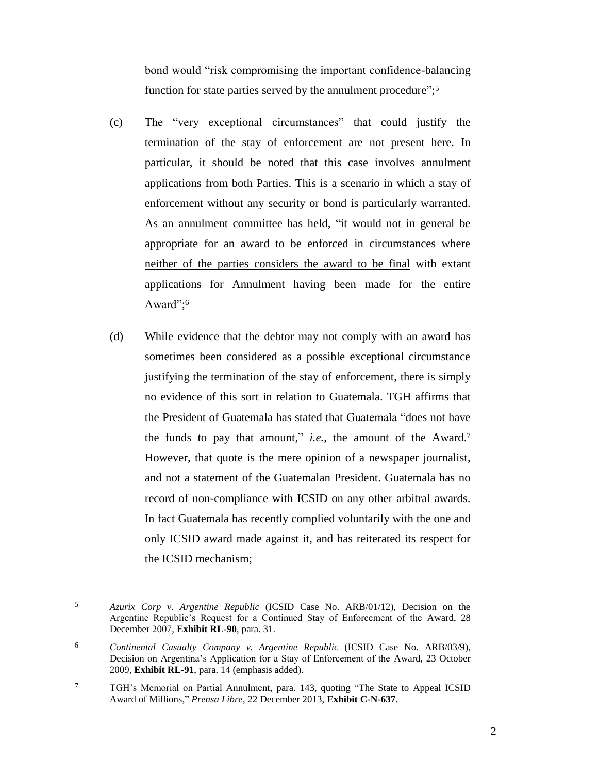bond would "risk compromising the important confidence-balancing function for state parties served by the annulment procedure";<sup>5</sup>

- (c) The "very exceptional circumstances" that could justify the termination of the stay of enforcement are not present here. In particular, it should be noted that this case involves annulment applications from both Parties. This is a scenario in which a stay of enforcement without any security or bond is particularly warranted. As an annulment committee has held, "it would not in general be appropriate for an award to be enforced in circumstances where neither of the parties considers the award to be final with extant applications for Annulment having been made for the entire Award"; 6
- (d) While evidence that the debtor may not comply with an award has sometimes been considered as a possible exceptional circumstance justifying the termination of the stay of enforcement, there is simply no evidence of this sort in relation to Guatemala. TGH affirms that the President of Guatemala has stated that Guatemala "does not have the funds to pay that amount," *i.e.*, the amount of the Award.<sup>7</sup> However, that quote is the mere opinion of a newspaper journalist, and not a statement of the Guatemalan President. Guatemala has no record of non-compliance with ICSID on any other arbitral awards. In fact Guatemala has recently complied voluntarily with the one and only ICSID award made against it, and has reiterated its respect for the ICSID mechanism;

<sup>5</sup> *Azurix Corp v. Argentine Republic* (ICSID Case No. ARB/01/12), Decision on the Argentine Republic's Request for a Continued Stay of Enforcement of the Award, 28 December 2007, **Exhibit RL-90**, para. 31.

<sup>6</sup> *Continental Casualty Company v. Argentine Republic* (ICSID Case No. ARB/03/9), Decision on Argentina's Application for a Stay of Enforcement of the Award, 23 October 2009, **Exhibit RL-91**, para. 14 (emphasis added).

<sup>7</sup> TGH's Memorial on Partial Annulment, para. 143, quoting "The State to Appeal ICSID Award of Millions," *Prensa Libre*, 22 December 2013, **Exhibit C-N-637**.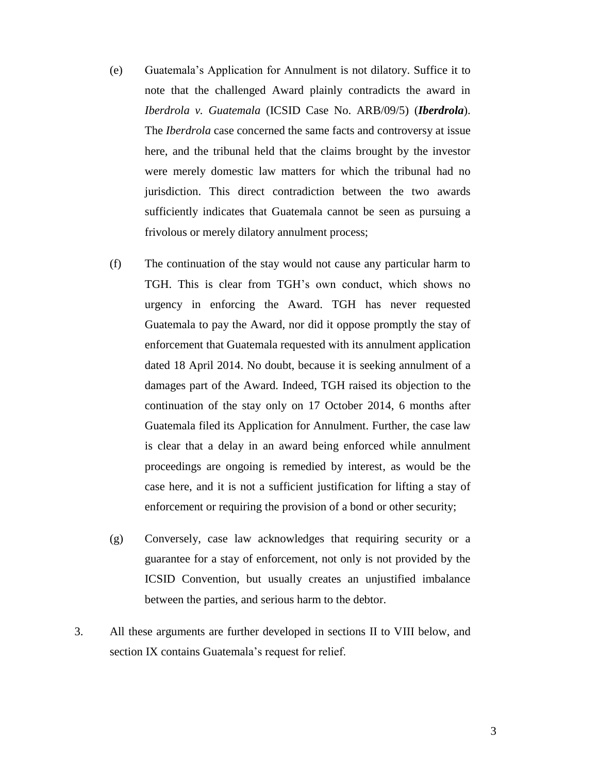- (e) Guatemala's Application for Annulment is not dilatory. Suffice it to note that the challenged Award plainly contradicts the award in *Iberdrola v. Guatemala* (ICSID Case No. ARB/09/5) (*Iberdrola*). The *Iberdrola* case concerned the same facts and controversy at issue here, and the tribunal held that the claims brought by the investor were merely domestic law matters for which the tribunal had no jurisdiction. This direct contradiction between the two awards sufficiently indicates that Guatemala cannot be seen as pursuing a frivolous or merely dilatory annulment process;
- (f) The continuation of the stay would not cause any particular harm to TGH. This is clear from TGH's own conduct, which shows no urgency in enforcing the Award. TGH has never requested Guatemala to pay the Award, nor did it oppose promptly the stay of enforcement that Guatemala requested with its annulment application dated 18 April 2014. No doubt, because it is seeking annulment of a damages part of the Award. Indeed, TGH raised its objection to the continuation of the stay only on 17 October 2014, 6 months after Guatemala filed its Application for Annulment. Further, the case law is clear that a delay in an award being enforced while annulment proceedings are ongoing is remedied by interest, as would be the case here, and it is not a sufficient justification for lifting a stay of enforcement or requiring the provision of a bond or other security;
- (g) Conversely, case law acknowledges that requiring security or a guarantee for a stay of enforcement, not only is not provided by the ICSID Convention, but usually creates an unjustified imbalance between the parties, and serious harm to the debtor.
- 3. All these arguments are further developed in sections II to VIII below, and section IX contains Guatemala's request for relief.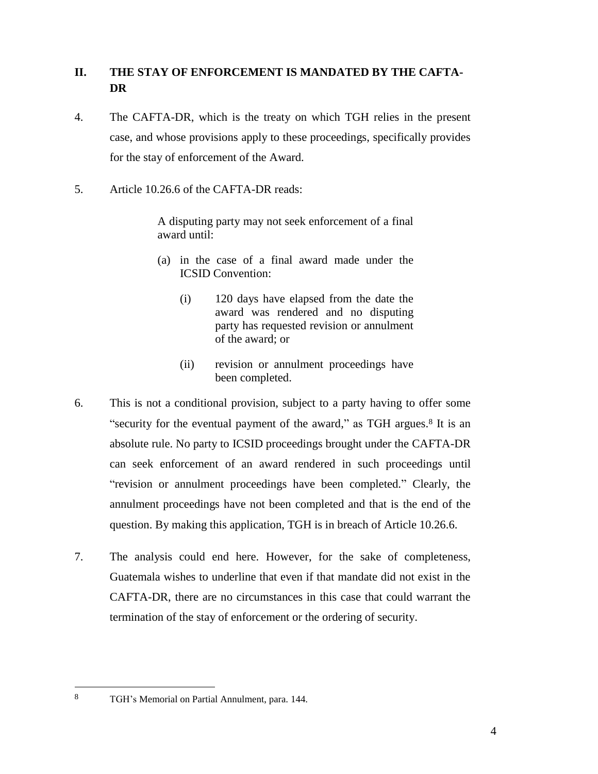#### <span id="page-5-0"></span>**II. THE STAY OF ENFORCEMENT IS MANDATED BY THE CAFTA-DR**

- 4. The CAFTA-DR, which is the treaty on which TGH relies in the present case, and whose provisions apply to these proceedings, specifically provides for the stay of enforcement of the Award.
- 5. Article 10.26.6 of the CAFTA-DR reads:

A disputing party may not seek enforcement of a final award until:

- (a) in the case of a final award made under the ICSID Convention:
	- (i) 120 days have elapsed from the date the award was rendered and no disputing party has requested revision or annulment of the award; or
	- (ii) revision or annulment proceedings have been completed.
- 6. This is not a conditional provision, subject to a party having to offer some "security for the eventual payment of the award," as TGH argues. <sup>8</sup> It is an absolute rule. No party to ICSID proceedings brought under the CAFTA-DR can seek enforcement of an award rendered in such proceedings until "revision or annulment proceedings have been completed." Clearly, the annulment proceedings have not been completed and that is the end of the question. By making this application, TGH is in breach of Article 10.26.6.
- 7. The analysis could end here. However, for the sake of completeness, Guatemala wishes to underline that even if that mandate did not exist in the CAFTA-DR, there are no circumstances in this case that could warrant the termination of the stay of enforcement or the ordering of security.

 $\overline{a}$ 

<sup>8</sup> TGH's Memorial on Partial Annulment, para. 144.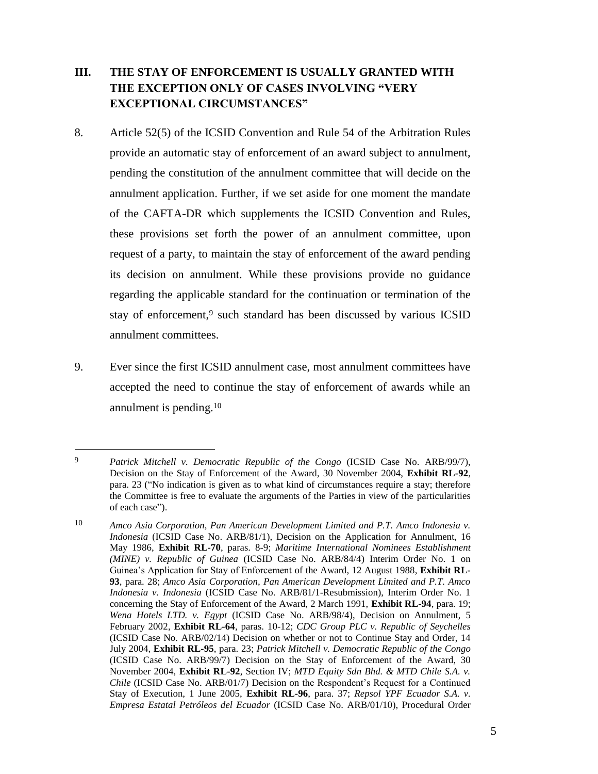#### <span id="page-6-0"></span>**III. THE STAY OF ENFORCEMENT IS USUALLY GRANTED WITH THE EXCEPTION ONLY OF CASES INVOLVING "VERY EXCEPTIONAL CIRCUMSTANCES"**

- 8. Article 52(5) of the ICSID Convention and Rule 54 of the Arbitration Rules provide an automatic stay of enforcement of an award subject to annulment, pending the constitution of the annulment committee that will decide on the annulment application. Further, if we set aside for one moment the mandate of the CAFTA-DR which supplements the ICSID Convention and Rules, these provisions set forth the power of an annulment committee, upon request of a party, to maintain the stay of enforcement of the award pending its decision on annulment. While these provisions provide no guidance regarding the applicable standard for the continuation or termination of the stay of enforcement, <sup>9</sup> such standard has been discussed by various ICSID annulment committees.
- 9. Ever since the first ICSID annulment case, most annulment committees have accepted the need to continue the stay of enforcement of awards while an annulment is pending.<sup>10</sup>

<sup>9</sup> *Patrick Mitchell v. Democratic Republic of the Congo* (ICSID Case No. ARB/99/7), Decision on the Stay of Enforcement of the Award, 30 November 2004, **Exhibit RL-92**, para. 23 ("No indication is given as to what kind of circumstances require a stay; therefore the Committee is free to evaluate the arguments of the Parties in view of the particularities of each case").

<sup>10</sup> *Amco Asia Corporation, Pan American Development Limited and P.T. Amco Indonesia v. Indonesia* (ICSID Case No. ARB/81/1), Decision on the Application for Annulment, 16 May 1986, **Exhibit RL-70**, paras. 8-9; *Maritime International Nominees Establishment (MINE) v. Republic of Guinea* (ICSID Case No. ARB/84/4) Interim Order No. 1 on Guinea's Application for Stay of Enforcement of the Award, 12 August 1988, **Exhibit RL-93**, para. 28; *Amco Asia Corporation, Pan American Development Limited and P.T. Amco Indonesia v. Indonesia* (ICSID Case No. ARB/81/1-Resubmission), Interim Order No. 1 concerning the Stay of Enforcement of the Award, 2 March 1991, **Exhibit RL-94**, para. 19; *Wena Hotels LTD. v. Egypt* (ICSID Case No. ARB/98/4), Decision on Annulment, 5 February 2002, **Exhibit RL-64**, paras. 10-12; *CDC Group PLC v. Republic of Seychelles* (ICSID Case No. ARB/02/14) Decision on whether or not to Continue Stay and Order, 14 July 2004, **Exhibit RL-95**, para. 23; *Patrick Mitchell v. Democratic Republic of the Congo* (ICSID Case No. ARB/99/7) Decision on the Stay of Enforcement of the Award, 30 November 2004, **Exhibit RL-92**, Section IV; *MTD Equity Sdn Bhd. & MTD Chile S.A. v. Chile* (ICSID Case No. ARB/01/7) Decision on the Respondent's Request for a Continued Stay of Execution, 1 June 2005, **Exhibit RL-96**, para. 37; *Repsol YPF Ecuador S.A. v. Empresa Estatal Petróleos del Ecuador* (ICSID Case No. ARB/01/10), Procedural Order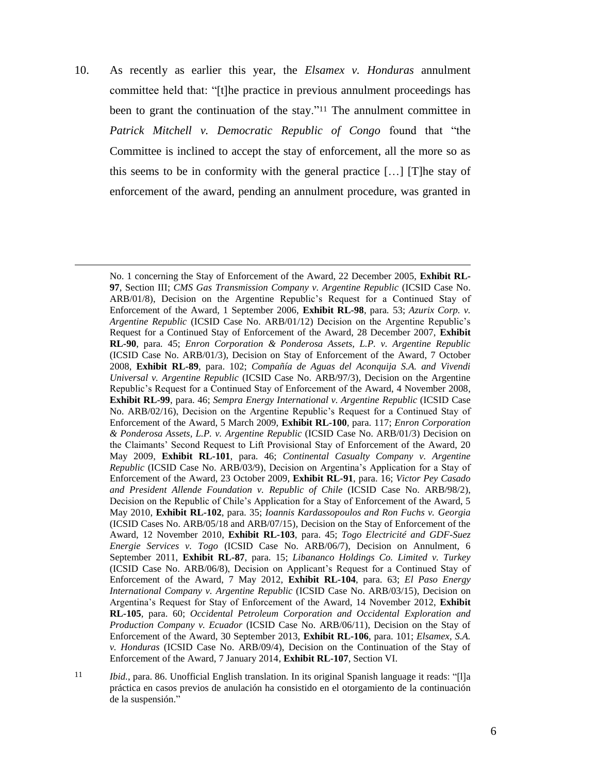10. As recently as earlier this year, the *Elsamex v. Honduras* annulment committee held that: "[t]he practice in previous annulment proceedings has been to grant the continuation of the stay."<sup>11</sup> The annulment committee in *Patrick Mitchell v. Democratic Republic of Congo* found that "the Committee is inclined to accept the stay of enforcement, all the more so as this seems to be in conformity with the general practice […] [T]he stay of enforcement of the award, pending an annulment procedure, was granted in

No. 1 concerning the Stay of Enforcement of the Award, 22 December 2005, **Exhibit RL-97**, Section III; *CMS Gas Transmission Company v. Argentine Republic* (ICSID Case No. ARB/01/8), Decision on the Argentine Republic's Request for a Continued Stay of Enforcement of the Award, 1 September 2006, **Exhibit RL-98**, para*.* 53; *Azurix Corp. v. Argentine Republic* (ICSID Case No. ARB/01/12) Decision on the Argentine Republic's Request for a Continued Stay of Enforcement of the Award, 28 December 2007, **Exhibit RL-90**, para*.* 45; *Enron Corporation & Ponderosa Assets, L.P. v. Argentine Republic* (ICSID Case No. ARB/01/3), Decision on Stay of Enforcement of the Award, 7 October 2008, **Exhibit RL-89**, para. 102; *Compañía de Aguas del Aconquija S.A. and Vivendi Universal v. Argentine Republic* (ICSID Case No. ARB/97/3), Decision on the Argentine Republic's Request for a Continued Stay of Enforcement of the Award, 4 November 2008, **Exhibit RL-99**, para. 46; *Sempra Energy International v. Argentine Republic* (ICSID Case No. ARB/02/16), Decision on the Argentine Republic's Request for a Continued Stay of Enforcement of the Award, 5 March 2009, **Exhibit RL-100**, para. 117; *Enron Corporation & Ponderosa Assets, L.P. v. Argentine Republic* (ICSID Case No. ARB/01/3) Decision on the Claimants' Second Request to Lift Provisional Stay of Enforcement of the Award, 20 May 2009, **Exhibit RL-101**, para. 46; *Continental Casualty Company v. Argentine Republic* (ICSID Case No. ARB/03/9), Decision on Argentina's Application for a Stay of Enforcement of the Award, 23 October 2009, **Exhibit RL-91**, para. 16; *Victor Pey Casado and President Allende Foundation v. Republic of Chile* (ICSID Case No. ARB/98/2), Decision on the Republic of Chile's Application for a Stay of Enforcement of the Award, 5 May 2010, **Exhibit RL-102**, para. 35; *Ioannis Kardassopoulos and Ron Fuchs v. Georgia*  (ICSID Cases No. ARB/05/18 and ARB/07/15), Decision on the Stay of Enforcement of the Award, 12 November 2010, **Exhibit RL-103**, para. 45; *Togo Electricité and GDF-Suez Energie Services v. Togo* (ICSID Case No. ARB/06/7), Decision on Annulment, 6 September 2011, **Exhibit RL-87**, para. 15; *Libananco Holdings Co. Limited v. Turkey* (ICSID Case No. ARB/06/8), Decision on Applicant's Request for a Continued Stay of Enforcement of the Award, 7 May 2012, **Exhibit RL-104**, para. 63; *El Paso Energy International Company v. Argentine Republic* (ICSID Case No. ARB/03/15), Decision on Argentina's Request for Stay of Enforcement of the Award, 14 November 2012, **Exhibit RL-105**, para. 60; *Occidental Petroleum Corporation and Occidental Exploration and Production Company v. Ecuador* (ICSID Case No. ARB/06/11), Decision on the Stay of Enforcement of the Award, 30 September 2013, **Exhibit RL-106**, para. 101; *Elsamex, S.A. v. Honduras* (ICSID Case No. ARB/09/4), Decision on the Continuation of the Stay of Enforcement of the Award, 7 January 2014, **Exhibit RL-107**, Section VI.

<sup>11</sup> *Ibid.*, para. 86. Unofficial English translation. In its original Spanish language it reads: "[l]a práctica en casos previos de anulación ha consistido en el otorgamiento de la continuación de la suspensión."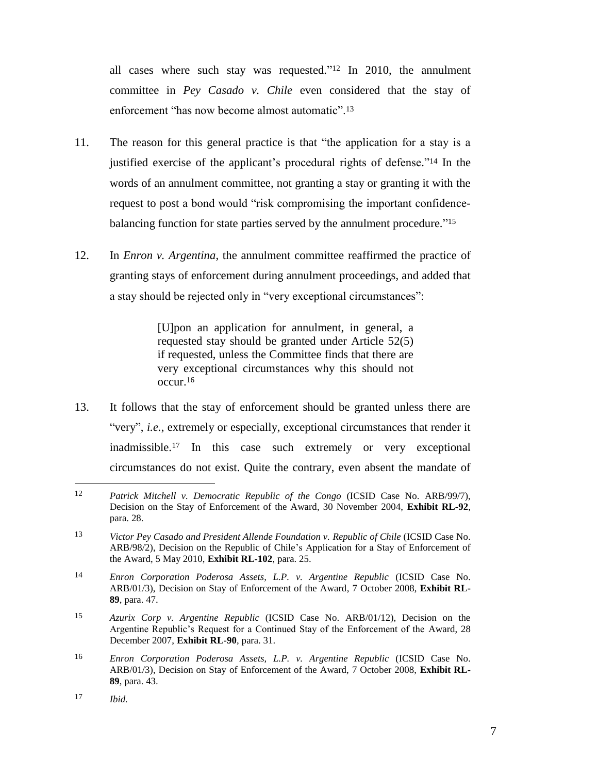all cases where such stay was requested." <sup>12</sup> In 2010, the annulment committee in *Pey Casado v. Chile* even considered that the stay of enforcement "has now become almost automatic".<sup>13</sup>

- 11. The reason for this general practice is that "the application for a stay is a justified exercise of the applicant's procedural rights of defense." <sup>14</sup> In the words of an annulment committee, not granting a stay or granting it with the request to post a bond would "risk compromising the important confidencebalancing function for state parties served by the annulment procedure." 15
- 12. In *Enron v. Argentina*, the annulment committee reaffirmed the practice of granting stays of enforcement during annulment proceedings, and added that a stay should be rejected only in "very exceptional circumstances":

[U]pon an application for annulment, in general, a requested stay should be granted under Article 52(5) if requested, unless the Committee finds that there are very exceptional circumstances why this should not occur. 16

13. It follows that the stay of enforcement should be granted unless there are "very", *i.e.*, extremely or especially, exceptional circumstances that render it inadmissible.<sup>17</sup> In this case such extremely or very exceptional circumstances do not exist. Quite the contrary, even absent the mandate of

<sup>12</sup> *Patrick Mitchell v. Democratic Republic of the Congo* (ICSID Case No. ARB/99/7), Decision on the Stay of Enforcement of the Award, 30 November 2004, **Exhibit RL-92**, para. 28.

<sup>13</sup> *Victor Pey Casado and President Allende Foundation v. Republic of Chile* (ICSID Case No. ARB/98/2), Decision on the Republic of Chile's Application for a Stay of Enforcement of the Award, 5 May 2010, **Exhibit RL-102**, para. 25.

<sup>14</sup> *Enron Corporation Poderosa Assets, L.P. v. Argentine Republic* (ICSID Case No. ARB/01/3), Decision on Stay of Enforcement of the Award, 7 October 2008, **Exhibit RL-89**, para. 47.

<sup>15</sup> *Azurix Corp v. Argentine Republic* (ICSID Case No. ARB/01/12), Decision on the Argentine Republic's Request for a Continued Stay of the Enforcement of the Award, 28 December 2007, **Exhibit RL-90**, para. 31.

<sup>16</sup> *Enron Corporation Poderosa Assets, L.P. v. Argentine Republic* (ICSID Case No. ARB/01/3), Decision on Stay of Enforcement of the Award, 7 October 2008, **Exhibit RL-89**, para. 43.

<sup>17</sup> *Ibid.*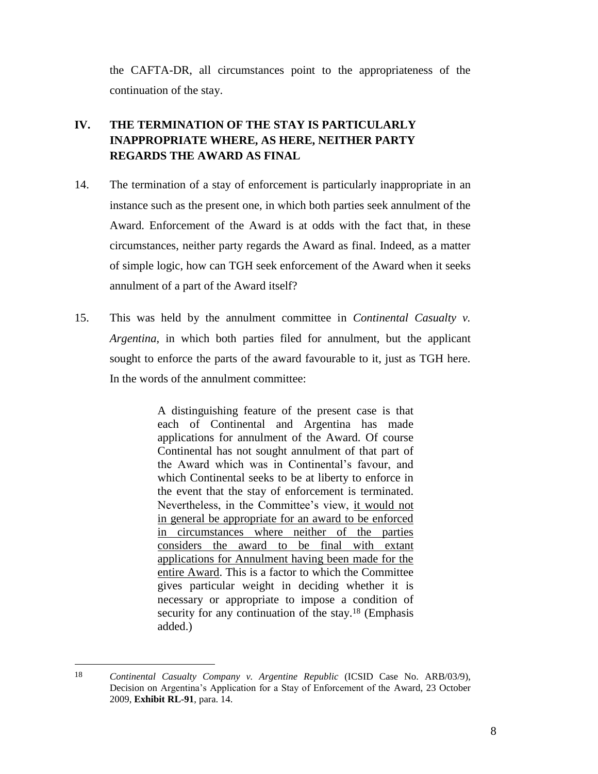the CAFTA-DR, all circumstances point to the appropriateness of the continuation of the stay.

### <span id="page-9-0"></span>**IV. THE TERMINATION OF THE STAY IS PARTICULARLY INAPPROPRIATE WHERE, AS HERE, NEITHER PARTY REGARDS THE AWARD AS FINAL**

- 14. The termination of a stay of enforcement is particularly inappropriate in an instance such as the present one, in which both parties seek annulment of the Award. Enforcement of the Award is at odds with the fact that, in these circumstances, neither party regards the Award as final. Indeed, as a matter of simple logic, how can TGH seek enforcement of the Award when it seeks annulment of a part of the Award itself?
- 15. This was held by the annulment committee in *Continental Casualty v. Argentina*, in which both parties filed for annulment, but the applicant sought to enforce the parts of the award favourable to it, just as TGH here. In the words of the annulment committee:

A distinguishing feature of the present case is that each of Continental and Argentina has made applications for annulment of the Award. Of course Continental has not sought annulment of that part of the Award which was in Continental's favour, and which Continental seeks to be at liberty to enforce in the event that the stay of enforcement is terminated. Nevertheless, in the Committee's view, it would not in general be appropriate for an award to be enforced in circumstances where neither of the parties considers the award to be final with extant applications for Annulment having been made for the entire Award. This is a factor to which the Committee gives particular weight in deciding whether it is necessary or appropriate to impose a condition of security for any continuation of the stay.<sup>18</sup> (Emphasis added.)

<sup>18</sup> *Continental Casualty Company v. Argentine Republic* (ICSID Case No. ARB/03/9), Decision on Argentina's Application for a Stay of Enforcement of the Award, 23 October 2009, **Exhibit RL-91**, para. 14.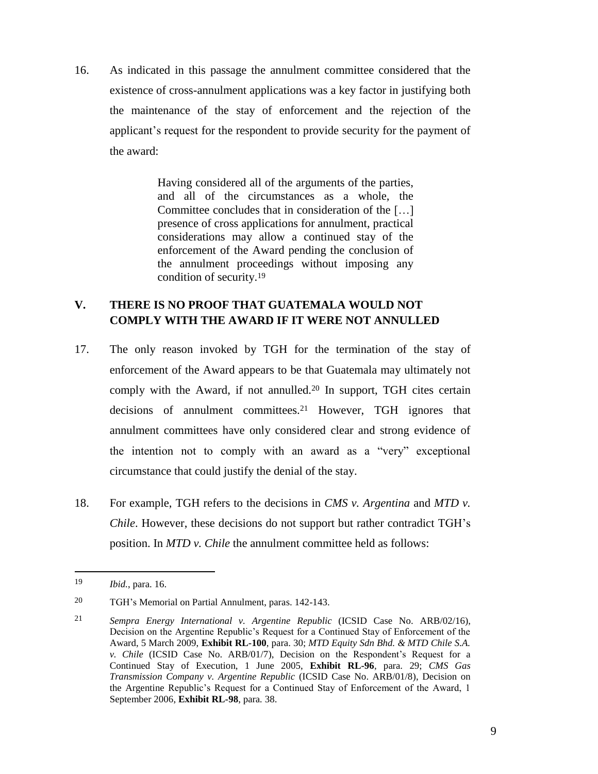16. As indicated in this passage the annulment committee considered that the existence of cross-annulment applications was a key factor in justifying both the maintenance of the stay of enforcement and the rejection of the applicant's request for the respondent to provide security for the payment of the award:

> Having considered all of the arguments of the parties, and all of the circumstances as a whole, the Committee concludes that in consideration of the […] presence of cross applications for annulment, practical considerations may allow a continued stay of the enforcement of the Award pending the conclusion of the annulment proceedings without imposing any condition of security.<sup>19</sup>

#### <span id="page-10-0"></span>**V. THERE IS NO PROOF THAT GUATEMALA WOULD NOT COMPLY WITH THE AWARD IF IT WERE NOT ANNULLED**

- 17. The only reason invoked by TGH for the termination of the stay of enforcement of the Award appears to be that Guatemala may ultimately not comply with the Award, if not annulled.<sup>20</sup> In support, TGH cites certain decisions of annulment committees.<sup>21</sup> However, TGH ignores that annulment committees have only considered clear and strong evidence of the intention not to comply with an award as a "very" exceptional circumstance that could justify the denial of the stay.
- 18. For example, TGH refers to the decisions in *CMS v. Argentina* and *MTD v. Chile*. However, these decisions do not support but rather contradict TGH's position. In *MTD v. Chile* the annulment committee held as follows:

<sup>19</sup> *Ibid.*, para. 16.

<sup>20</sup> TGH's Memorial on Partial Annulment, paras. 142-143.

<sup>21</sup> *Sempra Energy International v. Argentine Republic* (ICSID Case No. ARB/02/16), Decision on the Argentine Republic's Request for a Continued Stay of Enforcement of the Award, 5 March 2009, **Exhibit RL-100**, para. 30; *MTD Equity Sdn Bhd. & MTD Chile S.A. v. Chile* (ICSID Case No. ARB/01/7), Decision on the Respondent's Request for a Continued Stay of Execution, 1 June 2005, **Exhibit RL-96**, para. 29; *CMS Gas Transmission Company v. Argentine Republic* (ICSID Case No. ARB/01/8), Decision on the Argentine Republic's Request for a Continued Stay of Enforcement of the Award, 1 September 2006, **Exhibit RL-98**, para*.* 38.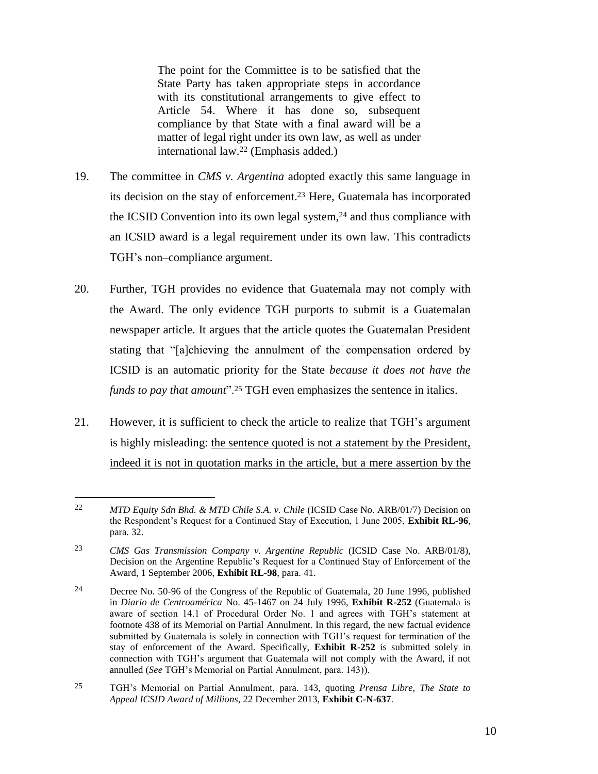The point for the Committee is to be satisfied that the State Party has taken appropriate steps in accordance with its constitutional arrangements to give effect to Article 54. Where it has done so, subsequent compliance by that State with a final award will be a matter of legal right under its own law, as well as under international law.<sup>22</sup> (Emphasis added.)

- 19. The committee in *CMS v. Argentina* adopted exactly this same language in its decision on the stay of enforcement. <sup>23</sup> Here, Guatemala has incorporated the ICSID Convention into its own legal system, $24$  and thus compliance with an ICSID award is a legal requirement under its own law. This contradicts TGH's non–compliance argument.
- 20. Further, TGH provides no evidence that Guatemala may not comply with the Award. The only evidence TGH purports to submit is a Guatemalan newspaper article. It argues that the article quotes the Guatemalan President stating that "[a]chieving the annulment of the compensation ordered by ICSID is an automatic priority for the State *because it does not have the funds to pay that amount*".<sup>25</sup> TGH even emphasizes the sentence in italics.
- 21. However, it is sufficient to check the article to realize that TGH's argument is highly misleading: the sentence quoted is not a statement by the President, indeed it is not in quotation marks in the article, but a mere assertion by the

<sup>22</sup> *MTD Equity Sdn Bhd. & MTD Chile S.A. v. Chile* (ICSID Case No. ARB/01/7) Decision on the Respondent's Request for a Continued Stay of Execution, 1 June 2005, **Exhibit RL-96**, para. 32.

<sup>23</sup> *CMS Gas Transmission Company v. Argentine Republic* (ICSID Case No. ARB/01/8), Decision on the Argentine Republic's Request for a Continued Stay of Enforcement of the Award, 1 September 2006, **Exhibit RL-98**, para*.* 41.

<sup>24</sup> Decree No. 50-96 of the Congress of the Republic of Guatemala, 20 June 1996, published in *Diario de Centroamérica* No. 45-1467 on 24 July 1996, **Exhibit R-252** (Guatemala is aware of section 14.1 of Procedural Order No. 1 and agrees with TGH's statement at footnote 438 of its Memorial on Partial Annulment. In this regard, the new factual evidence submitted by Guatemala is solely in connection with TGH's request for termination of the stay of enforcement of the Award. Specifically, **Exhibit R-252** is submitted solely in connection with TGH's argument that Guatemala will not comply with the Award, if not annulled (*See* TGH's Memorial on Partial Annulment, para. 143)).

<sup>25</sup> TGH's Memorial on Partial Annulment, para. 143, quoting *Prensa Libre, The State to Appeal ICSID Award of Millions*, 22 December 2013, **Exhibit C-N-637**.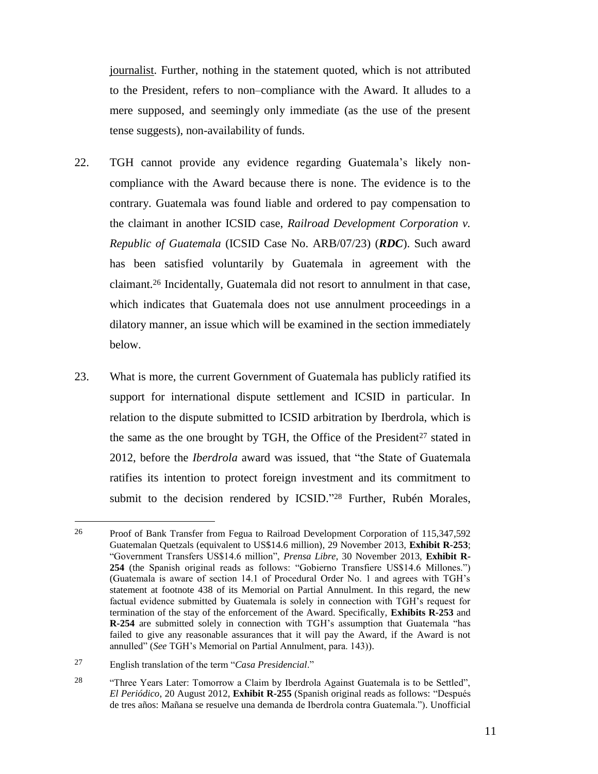journalist. Further, nothing in the statement quoted, which is not attributed to the President, refers to non–compliance with the Award. It alludes to a mere supposed, and seemingly only immediate (as the use of the present tense suggests), non-availability of funds.

- 22. TGH cannot provide any evidence regarding Guatemala's likely noncompliance with the Award because there is none. The evidence is to the contrary. Guatemala was found liable and ordered to pay compensation to the claimant in another ICSID case, *Railroad Development Corporation v. Republic of Guatemala* (ICSID Case No. ARB/07/23) (*RDC*). Such award has been satisfied voluntarily by Guatemala in agreement with the claimant. <sup>26</sup> Incidentally, Guatemala did not resort to annulment in that case, which indicates that Guatemala does not use annulment proceedings in a dilatory manner, an issue which will be examined in the section immediately below.
- 23. What is more, the current Government of Guatemala has publicly ratified its support for international dispute settlement and ICSID in particular. In relation to the dispute submitted to ICSID arbitration by Iberdrola, which is the same as the one brought by TGH, the Office of the President<sup>27</sup> stated in 2012, before the *Iberdrola* award was issued, that "the State of Guatemala ratifies its intention to protect foreign investment and its commitment to submit to the decision rendered by ICSID."28 Further, Rubén Morales,

<sup>26</sup> Proof of Bank Transfer from Fegua to Railroad Development Corporation of 115,347,592 Guatemalan Quetzals (equivalent to US\$14.6 million), 29 November 2013, **Exhibit R-253**; "Government Transfers US\$14.6 million", *Prensa Libre*, 30 November 2013, **Exhibit R-254** (the Spanish original reads as follows: "Gobierno Transfiere US\$14.6 Millones.") (Guatemala is aware of section 14.1 of Procedural Order No. 1 and agrees with TGH's statement at footnote 438 of its Memorial on Partial Annulment. In this regard, the new factual evidence submitted by Guatemala is solely in connection with TGH's request for termination of the stay of the enforcement of the Award. Specifically, **Exhibits R-253** and **R-254** are submitted solely in connection with TGH's assumption that Guatemala "has failed to give any reasonable assurances that it will pay the Award, if the Award is not annulled" (*See* TGH's Memorial on Partial Annulment, para. 143)).

<sup>27</sup> English translation of the term "*Casa Presidencial*."

<sup>28</sup> "Three Years Later: Tomorrow a Claim by Iberdrola Against Guatemala is to be Settled", *El Periódico*, 20 August 2012, **Exhibit R-255** (Spanish original reads as follows: "Después de tres años: Mañana se resuelve una demanda de Iberdrola contra Guatemala."). Unofficial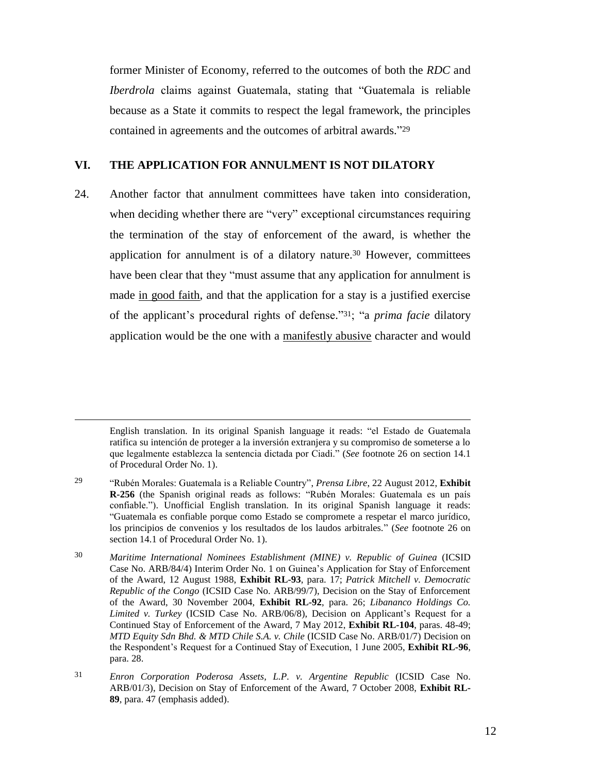former Minister of Economy, referred to the outcomes of both the *RDC* and *Iberdrola* claims against Guatemala, stating that "Guatemala is reliable because as a State it commits to respect the legal framework, the principles contained in agreements and the outcomes of arbitral awards."<sup>29</sup>

#### <span id="page-13-0"></span>**VI. THE APPLICATION FOR ANNULMENT IS NOT DILATORY**

24. Another factor that annulment committees have taken into consideration, when deciding whether there are "very" exceptional circumstances requiring the termination of the stay of enforcement of the award, is whether the application for annulment is of a dilatory nature.<sup>30</sup> However, committees have been clear that they "must assume that any application for annulment is made in good faith, and that the application for a stay is a justified exercise of the applicant's procedural rights of defense." <sup>31</sup>; "a *prima facie* dilatory application would be the one with a manifestly abusive character and would

English translation. In its original Spanish language it reads: "el Estado de Guatemala ratifica su intención de proteger a la inversión extranjera y su compromiso de someterse a lo que legalmente establezca la sentencia dictada por Ciadi." (*See* footnote 26 on section 14.1 of Procedural Order No. 1).

<sup>29</sup> "Rubén Morales: Guatemala is a Reliable Country", *Prensa Libre*, 22 August 2012, **Exhibit R-256** (the Spanish original reads as follows: "Rubén Morales: Guatemala es un país confiable."). Unofficial English translation. In its original Spanish language it reads: "Guatemala es confiable porque como Estado se compromete a respetar el marco jurídico, los principios de convenios y los resultados de los laudos arbitrales." (*See* footnote 26 on section 14.1 of Procedural Order No. 1).

<sup>30</sup> *Maritime International Nominees Establishment (MINE) v. Republic of Guinea* (ICSID Case No. ARB/84/4) Interim Order No. 1 on Guinea's Application for Stay of Enforcement of the Award, 12 August 1988, **Exhibit RL-93**, para. 17; *Patrick Mitchell v. Democratic Republic of the Congo* (ICSID Case No. ARB/99/7), Decision on the Stay of Enforcement of the Award, 30 November 2004, **Exhibit RL-92**, para. 26; *Libananco Holdings Co. Limited v. Turkey* (ICSID Case No. ARB/06/8), Decision on Applicant's Request for a Continued Stay of Enforcement of the Award, 7 May 2012, **Exhibit RL-104**, paras. 48-49; *MTD Equity Sdn Bhd. & MTD Chile S.A. v. Chile* (ICSID Case No. ARB/01/7) Decision on the Respondent's Request for a Continued Stay of Execution, 1 June 2005, **Exhibit RL-96**, para. 28.

<sup>31</sup> *Enron Corporation Poderosa Assets, L.P. v. Argentine Republic* (ICSID Case No. ARB/01/3), Decision on Stay of Enforcement of the Award, 7 October 2008, **Exhibit RL-89**, para. 47 (emphasis added).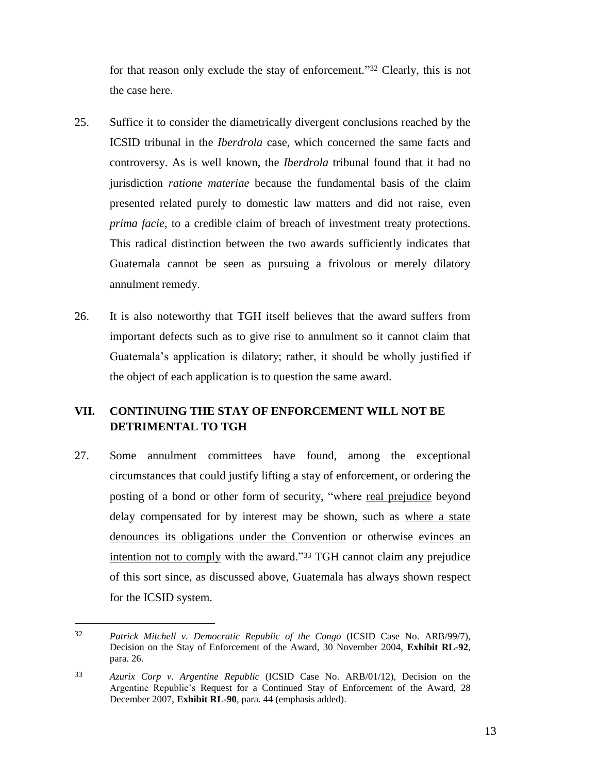for that reason only exclude the stay of enforcement." <sup>32</sup> Clearly, this is not the case here.

- 25. Suffice it to consider the diametrically divergent conclusions reached by the ICSID tribunal in the *Iberdrola* case, which concerned the same facts and controversy. As is well known, the *Iberdrola* tribunal found that it had no jurisdiction *ratione materiae* because the fundamental basis of the claim presented related purely to domestic law matters and did not raise, even *prima facie*, to a credible claim of breach of investment treaty protections. This radical distinction between the two awards sufficiently indicates that Guatemala cannot be seen as pursuing a frivolous or merely dilatory annulment remedy.
- 26. It is also noteworthy that TGH itself believes that the award suffers from important defects such as to give rise to annulment so it cannot claim that Guatemala's application is dilatory; rather, it should be wholly justified if the object of each application is to question the same award.

#### <span id="page-14-0"></span>**VII. CONTINUING THE STAY OF ENFORCEMENT WILL NOT BE DETRIMENTAL TO TGH**

27. Some annulment committees have found, among the exceptional circumstances that could justify lifting a stay of enforcement, or ordering the posting of a bond or other form of security, "where real prejudice beyond delay compensated for by interest may be shown, such as where a state denounces its obligations under the Convention or otherwise evinces an intention not to comply with the award."<sup>33</sup> TGH cannot claim any prejudice of this sort since, as discussed above, Guatemala has always shown respect for the ICSID system.

<sup>32</sup> *Patrick Mitchell v. Democratic Republic of the Congo* (ICSID Case No. ARB/99/7), Decision on the Stay of Enforcement of the Award, 30 November 2004, **Exhibit RL-92**, para. 26.

<sup>33</sup> *Azurix Corp v. Argentine Republic* (ICSID Case No. ARB/01/12), Decision on the Argentine Republic's Request for a Continued Stay of Enforcement of the Award, 28 December 2007, **Exhibit RL-90**, para. 44 (emphasis added).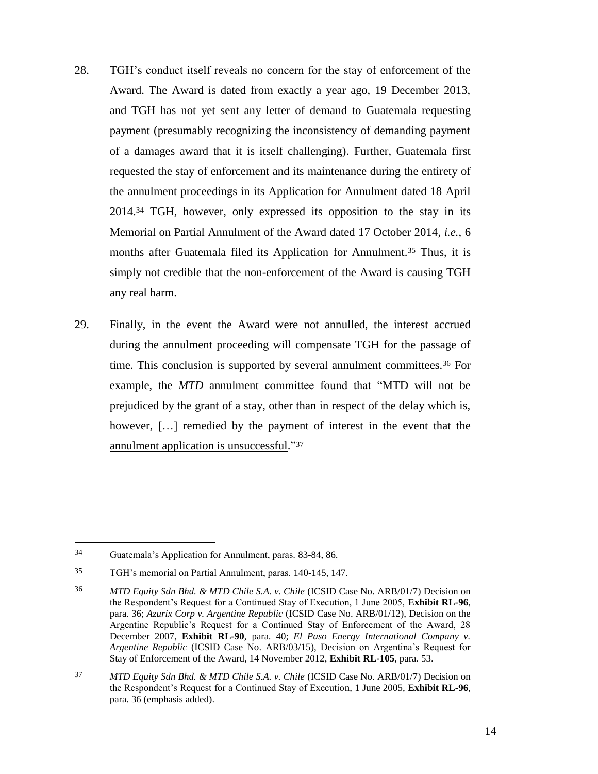- 28. TGH's conduct itself reveals no concern for the stay of enforcement of the Award. The Award is dated from exactly a year ago, 19 December 2013, and TGH has not yet sent any letter of demand to Guatemala requesting payment (presumably recognizing the inconsistency of demanding payment of a damages award that it is itself challenging). Further, Guatemala first requested the stay of enforcement and its maintenance during the entirety of the annulment proceedings in its Application for Annulment dated 18 April 2014. <sup>34</sup> TGH, however, only expressed its opposition to the stay in its Memorial on Partial Annulment of the Award dated 17 October 2014, *i.e.*, 6 months after Guatemala filed its Application for Annulment. <sup>35</sup> Thus, it is simply not credible that the non-enforcement of the Award is causing TGH any real harm.
- 29. Finally, in the event the Award were not annulled, the interest accrued during the annulment proceeding will compensate TGH for the passage of time. This conclusion is supported by several annulment committees. <sup>36</sup> For example, the *MTD* annulment committee found that "MTD will not be prejudiced by the grant of a stay, other than in respect of the delay which is, however, [...] remedied by the payment of interest in the event that the annulment application is unsuccessful."<sup>37</sup>

<sup>34</sup> Guatemala's Application for Annulment, paras. 83-84, 86.

<sup>35</sup> TGH's memorial on Partial Annulment, paras. 140-145, 147.

<sup>36</sup> *MTD Equity Sdn Bhd. & MTD Chile S.A. v. Chile* (ICSID Case No. ARB/01/7) Decision on the Respondent's Request for a Continued Stay of Execution, 1 June 2005, **Exhibit RL-96**, para. 36; *Azurix Corp v. Argentine Republic* (ICSID Case No. ARB/01/12), Decision on the Argentine Republic's Request for a Continued Stay of Enforcement of the Award, 28 December 2007, **Exhibit RL-90**, para. 40; *El Paso Energy International Company v. Argentine Republic* (ICSID Case No. ARB/03/15), Decision on Argentina's Request for Stay of Enforcement of the Award, 14 November 2012, **Exhibit RL-105**, para. 53.

<sup>37</sup> *MTD Equity Sdn Bhd. & MTD Chile S.A. v. Chile* (ICSID Case No. ARB/01/7) Decision on the Respondent's Request for a Continued Stay of Execution, 1 June 2005, **Exhibit RL-96**, para. 36 (emphasis added).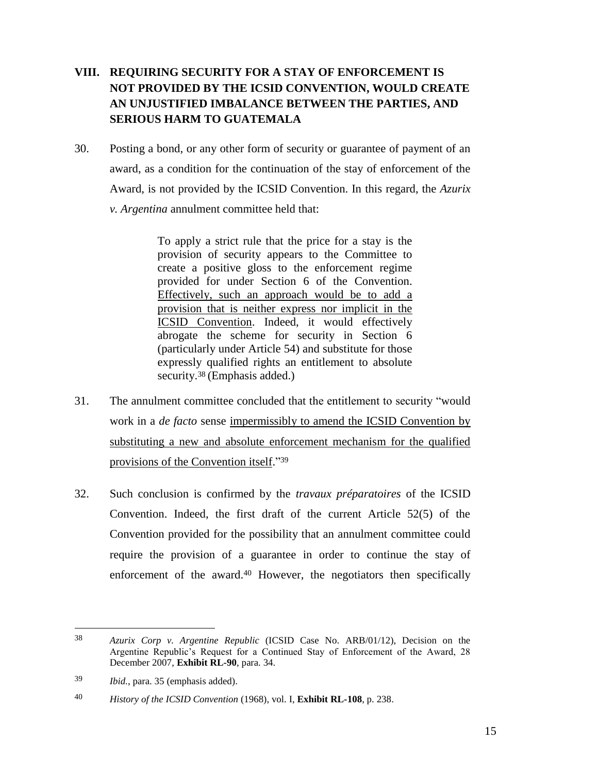## <span id="page-16-0"></span>**VIII. REQUIRING SECURITY FOR A STAY OF ENFORCEMENT IS NOT PROVIDED BY THE ICSID CONVENTION, WOULD CREATE AN UNJUSTIFIED IMBALANCE BETWEEN THE PARTIES, AND SERIOUS HARM TO GUATEMALA**

30. Posting a bond, or any other form of security or guarantee of payment of an award, as a condition for the continuation of the stay of enforcement of the Award, is not provided by the ICSID Convention. In this regard, the *Azurix v. Argentina* annulment committee held that:

> To apply a strict rule that the price for a stay is the provision of security appears to the Committee to create a positive gloss to the enforcement regime provided for under Section 6 of the Convention. Effectively, such an approach would be to add a provision that is neither express nor implicit in the ICSID Convention. Indeed, it would effectively abrogate the scheme for security in Section 6 (particularly under Article 54) and substitute for those expressly qualified rights an entitlement to absolute security.<sup>38</sup> (Emphasis added.)

- 31. The annulment committee concluded that the entitlement to security "would work in a *de facto* sense impermissibly to amend the ICSID Convention by substituting a new and absolute enforcement mechanism for the qualified provisions of the Convention itself."39
- 32. Such conclusion is confirmed by the *travaux préparatoires* of the ICSID Convention. Indeed, the first draft of the current Article 52(5) of the Convention provided for the possibility that an annulment committee could require the provision of a guarantee in order to continue the stay of enforcement of the award.<sup>40</sup> However, the negotiators then specifically

<sup>38</sup> *Azurix Corp v. Argentine Republic* (ICSID Case No. ARB/01/12), Decision on the Argentine Republic's Request for a Continued Stay of Enforcement of the Award, 28 December 2007, **Exhibit RL-90**, para. 34.

<sup>39</sup> *Ibid.*, para. 35 (emphasis added).

<sup>40</sup> *History of the ICSID Convention* (1968), vol. I, **Exhibit RL-108**, p. 238.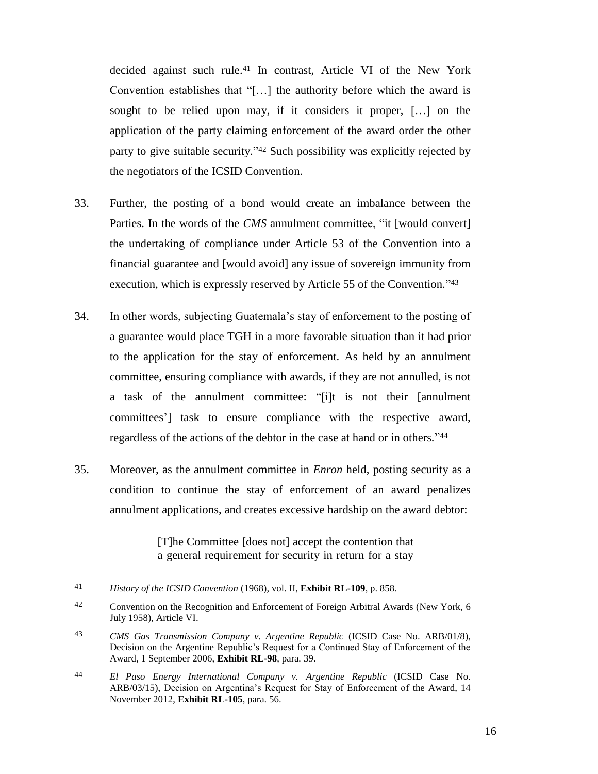decided against such rule. <sup>41</sup> In contrast, Article VI of the New York Convention establishes that "[…] the authority before which the award is sought to be relied upon may, if it considers it proper, […] on the application of the party claiming enforcement of the award order the other party to give suitable security*.*" <sup>42</sup> Such possibility was explicitly rejected by the negotiators of the ICSID Convention.

- 33. Further, the posting of a bond would create an imbalance between the Parties. In the words of the *CMS* annulment committee, "it [would convert] the undertaking of compliance under Article 53 of the Convention into a financial guarantee and [would avoid] any issue of sovereign immunity from execution, which is expressly reserved by Article 55 of the Convention*.*" 43
- 34. In other words, subjecting Guatemala's stay of enforcement to the posting of a guarantee would place TGH in a more favorable situation than it had prior to the application for the stay of enforcement. As held by an annulment committee, ensuring compliance with awards, if they are not annulled, is not a task of the annulment committee: "[i]t is not their [annulment committees'] task to ensure compliance with the respective award, regardless of the actions of the debtor in the case at hand or in others*.*" 44
- 35. Moreover, as the annulment committee in *Enron* held, posting security as a condition to continue the stay of enforcement of an award penalizes annulment applications, and creates excessive hardship on the award debtor:

[T]he Committee [does not] accept the contention that a general requirement for security in return for a stay

<sup>41</sup> *History of the ICSID Convention* (1968), vol. II, **Exhibit RL-109**, p. 858.

<sup>42</sup> Convention on the Recognition and Enforcement of Foreign Arbitral Awards (New York, 6 July 1958), Article VI.

<sup>43</sup> *CMS Gas Transmission Company v. Argentine Republic* (ICSID Case No. ARB/01/8), Decision on the Argentine Republic's Request for a Continued Stay of Enforcement of the Award, 1 September 2006, **Exhibit RL-98**, para*.* 39.

<sup>44</sup> *El Paso Energy International Company v. Argentine Republic* (ICSID Case No. ARB/03/15), Decision on Argentina's Request for Stay of Enforcement of the Award, 14 November 2012, **Exhibit RL-105**, para. 56.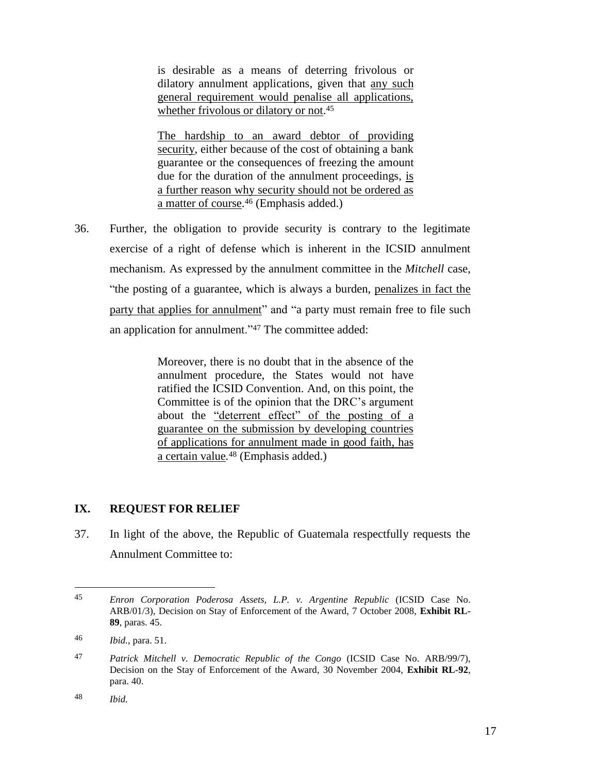is desirable as a means of deterring frivolous or dilatory annulment applications, given that any such general requirement would penalise all applications, whether frivolous or dilatory or not.<sup>45</sup>

The hardship to an award debtor of providing security, either because of the cost of obtaining a bank guarantee or the consequences of freezing the amount due for the duration of the annulment proceedings, is a further reason why security should not be ordered as a matter of course.<sup>46</sup> (Emphasis added.)

36. Further, the obligation to provide security is contrary to the legitimate exercise of a right of defense which is inherent in the ICSID annulment mechanism. As expressed by the annulment committee in the *Mitchell* case, "the posting of a guarantee, which is always a burden, penalizes in fact the party that applies for annulment" and "a party must remain free to file such an application for annulment."<sup>47</sup> The committee added:

> Moreover, there is no doubt that in the absence of the annulment procedure, the States would not have ratified the ICSID Convention. And, on this point, the Committee is of the opinion that the DRC's argument about the "deterrent effect" of the posting of a guarantee on the submission by developing countries of applications for annulment made in good faith, has a certain value*.* <sup>48</sup> (Emphasis added.)

#### <span id="page-18-0"></span>**IX. REQUEST FOR RELIEF**

37. In light of the above, the Republic of Guatemala respectfully requests the Annulment Committee to:

<sup>45</sup> *Enron Corporation Poderosa Assets, L.P. v. Argentine Republic* (ICSID Case No. ARB/01/3), Decision on Stay of Enforcement of the Award, 7 October 2008, **Exhibit RL-89**, paras. 45.

<sup>46</sup> *Ibid.*, para. 51.

<sup>47</sup> *Patrick Mitchell v. Democratic Republic of the Congo* (ICSID Case No. ARB/99/7), Decision on the Stay of Enforcement of the Award, 30 November 2004, **Exhibit RL-92**, para. 40.

<sup>48</sup> *Ibid.*